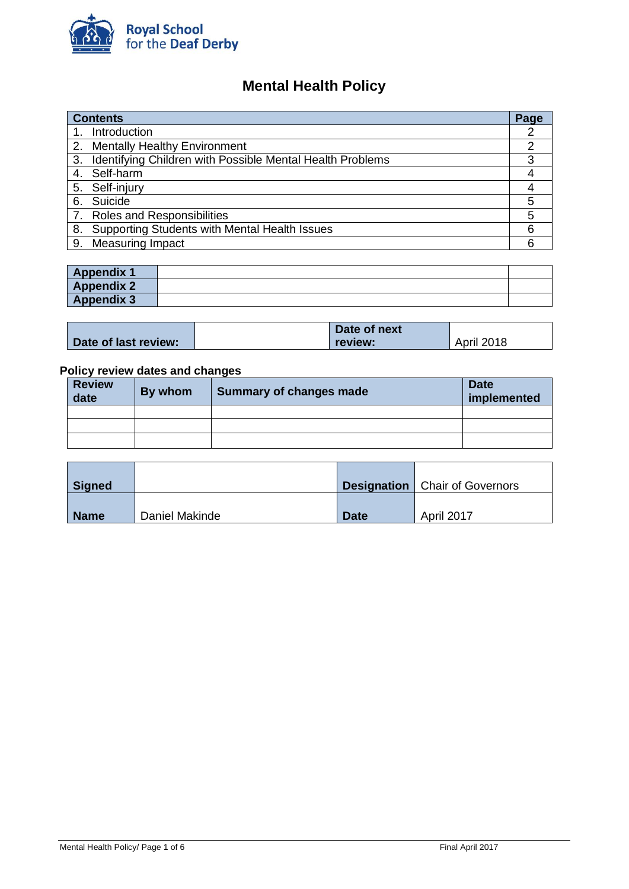

# **Mental Health Policy**

| <b>Contents</b> |                                                           |   |
|-----------------|-----------------------------------------------------------|---|
|                 | Introduction                                              |   |
|                 | 2. Mentally Healthy Environment                           | 2 |
| 3.              | Identifying Children with Possible Mental Health Problems | 3 |
|                 | 4. Self-harm                                              |   |
|                 | 5. Self-injury                                            | 4 |
|                 | 6. Suicide                                                | 5 |
|                 | 7. Roles and Responsibilities                             | 5 |
| 8.              | Supporting Students with Mental Health Issues             | 6 |
| 9.              | <b>Measuring Impact</b>                                   | 6 |

| <b>Appendix 1</b> |  |
|-------------------|--|
| <b>Appendix 2</b> |  |
| <b>Appendix 3</b> |  |

|                      | Date of next |            |  |
|----------------------|--------------|------------|--|
| Date of last review: | review:      | April 2018 |  |

# **Policy review dates and changes**

| <b>Review</b><br>date | By whom | <b>Summary of changes made</b> | <b>Date</b><br>implemented |
|-----------------------|---------|--------------------------------|----------------------------|
|                       |         |                                |                            |
|                       |         |                                |                            |
|                       |         |                                |                            |

| Signed      |                |             | <b>Designation</b>   Chair of Governors |
|-------------|----------------|-------------|-----------------------------------------|
| <b>Name</b> | Daniel Makinde | <b>Date</b> | April 2017                              |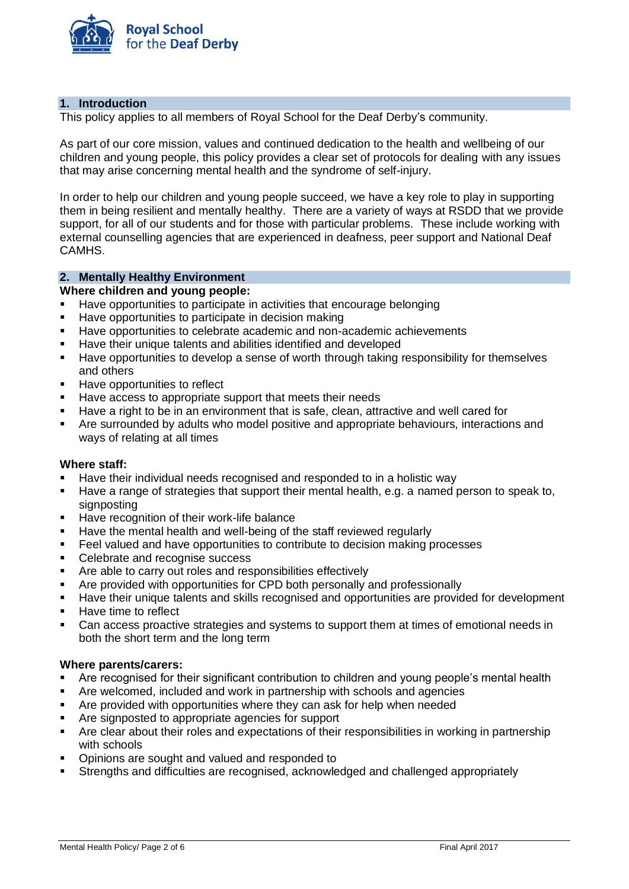

# **1. Introduction**

This policy applies to all members of Royal School for the Deaf Derby's community.

As part of our core mission, values and continued dedication to the health and wellbeing of our children and young people, this policy provides a clear set of protocols for dealing with any issues that may arise concerning mental health and the syndrome of self-injury.

In order to help our children and young people succeed, we have a key role to play in supporting them in being resilient and mentally healthy. There are a variety of ways at RSDD that we provide support, for all of our students and for those with particular problems. These include working with external counselling agencies that are experienced in deafness, peer support and National Deaf CAMHS.

# **2. Mentally Healthy Environment**

#### **Where children and young people:**

- Have opportunities to participate in activities that encourage belonging
- Have opportunities to participate in decision making
- Have opportunities to celebrate academic and non-academic achievements
- Have their unique talents and abilities identified and developed
- Have opportunities to develop a sense of worth through taking responsibility for themselves and others
- Have opportunities to reflect
- Have access to appropriate support that meets their needs
- Have a right to be in an environment that is safe, clean, attractive and well cared for
- Are surrounded by adults who model positive and appropriate behaviours, interactions and ways of relating at all times

#### **Where staff:**

- Have their individual needs recognised and responded to in a holistic way
- Have a range of strategies that support their mental health, e.g. a named person to speak to, signposting
- Have recognition of their work-life balance
- Have the mental health and well-being of the staff reviewed regularly
- Feel valued and have opportunities to contribute to decision making processes
- Celebrate and recognise success
- Are able to carry out roles and responsibilities effectively
- Are provided with opportunities for CPD both personally and professionally
- Have their unique talents and skills recognised and opportunities are provided for development
- Have time to reflect
- Can access proactive strategies and systems to support them at times of emotional needs in both the short term and the long term

#### **Where parents/carers:**

- Are recognised for their significant contribution to children and young people's mental health
- Are welcomed, included and work in partnership with schools and agencies
- Are provided with opportunities where they can ask for help when needed
- Are signposted to appropriate agencies for support
- Are clear about their roles and expectations of their responsibilities in working in partnership with schools
- Opinions are sought and valued and responded to
- Strengths and difficulties are recognised, acknowledged and challenged appropriately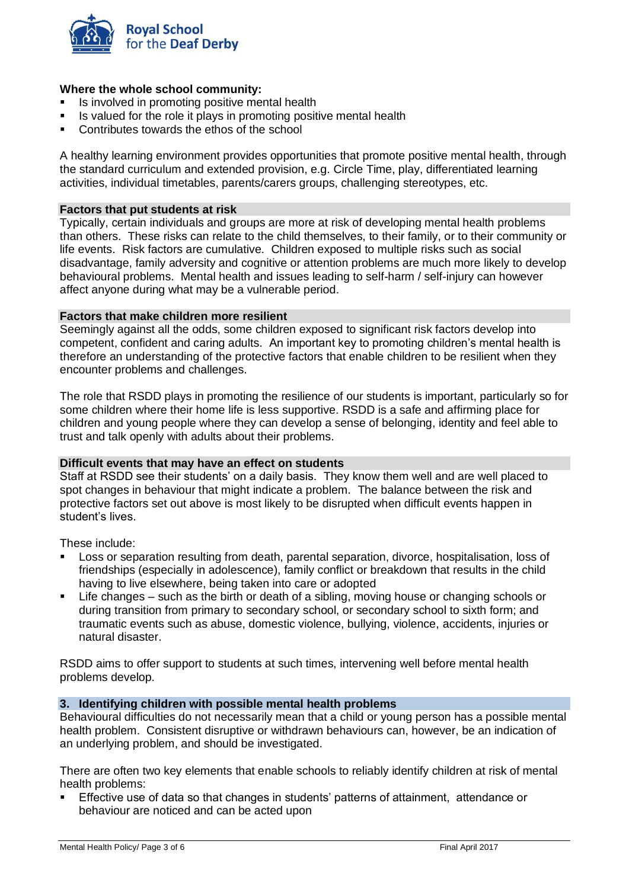

# **Where the whole school community:**

- Is involved in promoting positive mental health
- Is valued for the role it plays in promoting positive mental health
- Contributes towards the ethos of the school

A healthy learning environment provides opportunities that promote positive mental health, through the standard curriculum and extended provision, e.g. Circle Time, play, differentiated learning activities, individual timetables, parents/carers groups, challenging stereotypes, etc.

# **Factors that put students at risk**

Typically, certain individuals and groups are more at risk of developing mental health problems than others. These risks can relate to the child themselves, to their family, or to their community or life events. Risk factors are cumulative. Children exposed to multiple risks such as social disadvantage, family adversity and cognitive or attention problems are much more likely to develop behavioural problems. Mental health and issues leading to self-harm / self-injury can however affect anyone during what may be a vulnerable period.

#### **Factors that make children more resilient**

Seemingly against all the odds, some children exposed to significant risk factors develop into competent, confident and caring adults. An important key to promoting children's mental health is therefore an understanding of the protective factors that enable children to be resilient when they encounter problems and challenges.

The role that RSDD plays in promoting the resilience of our students is important, particularly so for some children where their home life is less supportive. RSDD is a safe and affirming place for children and young people where they can develop a sense of belonging, identity and feel able to trust and talk openly with adults about their problems.

#### **Difficult events that may have an effect on students**

Staff at RSDD see their students' on a daily basis. They know them well and are well placed to spot changes in behaviour that might indicate a problem. The balance between the risk and protective factors set out above is most likely to be disrupted when difficult events happen in student's lives.

These include:

- Loss or separation resulting from death, parental separation, divorce, hospitalisation, loss of friendships (especially in adolescence), family conflict or breakdown that results in the child having to live elsewhere, being taken into care or adopted
- Life changes such as the birth or death of a sibling, moving house or changing schools or during transition from primary to secondary school, or secondary school to sixth form; and traumatic events such as abuse, domestic violence, bullying, violence, accidents, injuries or natural disaster.

RSDD aims to offer support to students at such times, intervening well before mental health problems develop.

#### **3. Identifying children with possible mental health problems**

Behavioural difficulties do not necessarily mean that a child or young person has a possible mental health problem. Consistent disruptive or withdrawn behaviours can, however, be an indication of an underlying problem, and should be investigated.

There are often two key elements that enable schools to reliably identify children at risk of mental health problems:

▪ Effective use of data so that changes in students' patterns of attainment, attendance or behaviour are noticed and can be acted upon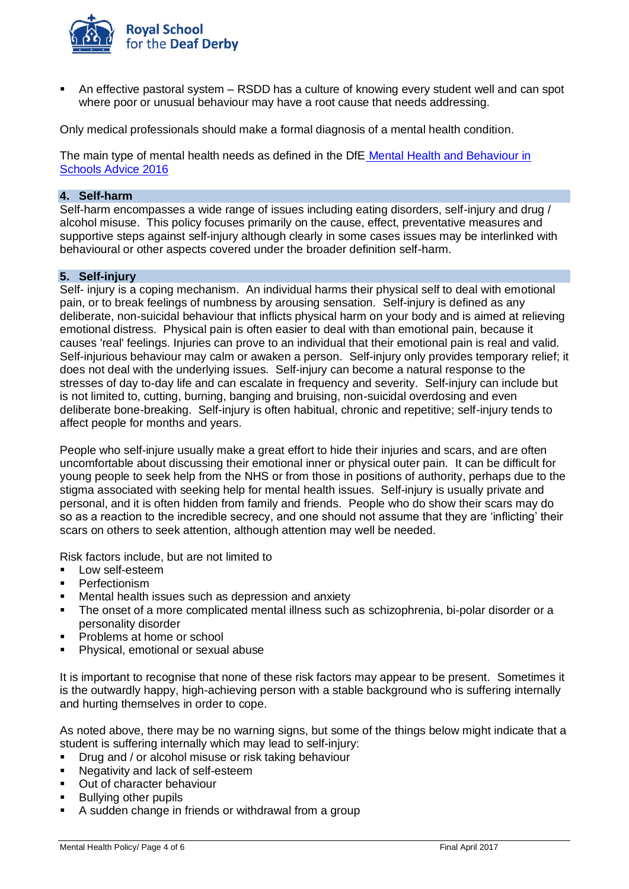

An effective pastoral system – RSDD has a culture of knowing every student well and can spot where poor or unusual behaviour may have a root cause that needs addressing.

Only medical professionals should make a formal diagnosis of a mental health condition.

The main type of mental health needs as defined in the DfE Mental [Health and Behaviour in](https://www.gov.uk/government/uploads/system/uploads/attachment_data/file/508847/Mental_Health_and_Behaviour_-_advice_for_Schools_160316.pdf)  [Schools Advice 2016](https://www.gov.uk/government/uploads/system/uploads/attachment_data/file/508847/Mental_Health_and_Behaviour_-_advice_for_Schools_160316.pdf)

# **4. Self-harm**

Self-harm encompasses a wide range of issues including eating disorders, self-injury and drug / alcohol misuse. This policy focuses primarily on the cause, effect, preventative measures and supportive steps against self-injury although clearly in some cases issues may be interlinked with behavioural or other aspects covered under the broader definition self-harm.

#### **5. Self-injury**

Self- injury is a coping mechanism. An individual harms their physical self to deal with emotional pain, or to break feelings of numbness by arousing sensation. Self-injury is defined as any deliberate, non-suicidal behaviour that inflicts physical harm on your body and is aimed at relieving emotional distress. Physical pain is often easier to deal with than emotional pain, because it causes 'real' feelings. Injuries can prove to an individual that their emotional pain is real and valid. Self-injurious behaviour may calm or awaken a person. Self-injury only provides temporary relief; it does not deal with the underlying issues. Self-injury can become a natural response to the stresses of day to-day life and can escalate in frequency and severity. Self-injury can include but is not limited to, cutting, burning, banging and bruising, non-suicidal overdosing and even deliberate bone-breaking. Self-injury is often habitual, chronic and repetitive; self-injury tends to affect people for months and years.

People who self-injure usually make a great effort to hide their injuries and scars, and are often uncomfortable about discussing their emotional inner or physical outer pain. It can be difficult for young people to seek help from the NHS or from those in positions of authority, perhaps due to the stigma associated with seeking help for mental health issues. Self-injury is usually private and personal, and it is often hidden from family and friends. People who do show their scars may do so as a reaction to the incredible secrecy, and one should not assume that they are 'inflicting' their scars on others to seek attention, although attention may well be needed.

Risk factors include, but are not limited to

- Low self-esteem
- Perfectionism
- Mental health issues such as depression and anxiety
- The onset of a more complicated mental illness such as schizophrenia, bi-polar disorder or a personality disorder
- Problems at home or school
- Physical, emotional or sexual abuse

It is important to recognise that none of these risk factors may appear to be present. Sometimes it is the outwardly happy, high-achieving person with a stable background who is suffering internally and hurting themselves in order to cope.

As noted above, there may be no warning signs, but some of the things below might indicate that a student is suffering internally which may lead to self-injury:

- **•** Drug and / or alcohol misuse or risk taking behaviour
- Negativity and lack of self-esteem
- Out of character behaviour
- **Bullying other pupils**
- A sudden change in friends or withdrawal from a group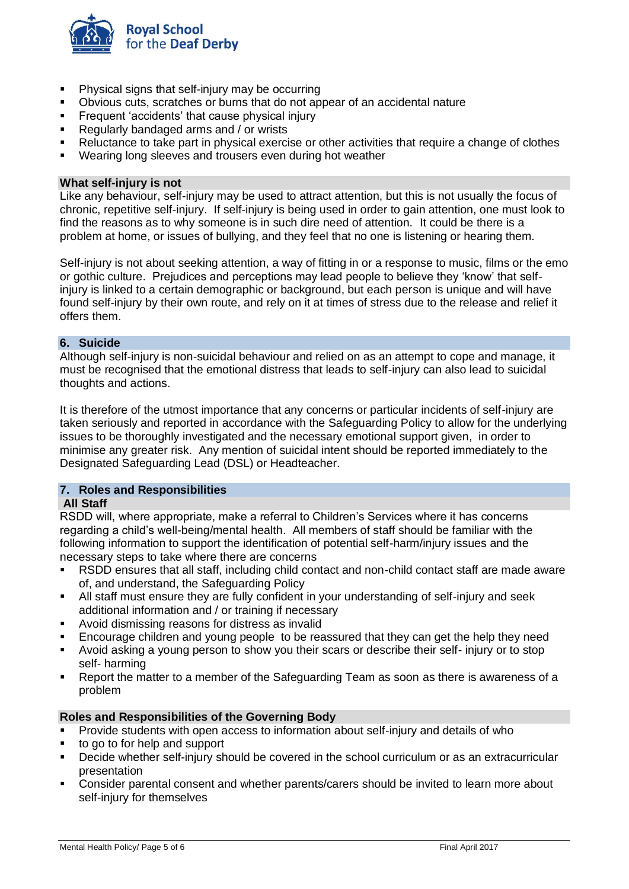

- Physical signs that self-injury may be occurring
- Obvious cuts, scratches or burns that do not appear of an accidental nature
- **EXECTEDE FREQUENT 'accidents' that cause physical injury**
- Regularly bandaged arms and / or wrists
- Reluctance to take part in physical exercise or other activities that require a change of clothes
- Wearing long sleeves and trousers even during hot weather

#### **What self-injury is not**

Like any behaviour, self-injury may be used to attract attention, but this is not usually the focus of chronic, repetitive self-injury. If self-injury is being used in order to gain attention, one must look to find the reasons as to why someone is in such dire need of attention. It could be there is a problem at home, or issues of bullying, and they feel that no one is listening or hearing them.

Self-injury is not about seeking attention, a way of fitting in or a response to music, films or the emo or gothic culture. Prejudices and perceptions may lead people to believe they 'know' that selfinjury is linked to a certain demographic or background, but each person is unique and will have found self-injury by their own route, and rely on it at times of stress due to the release and relief it offers them.

#### **6. Suicide**

Although self-injury is non-suicidal behaviour and relied on as an attempt to cope and manage, it must be recognised that the emotional distress that leads to self-injury can also lead to suicidal thoughts and actions.

It is therefore of the utmost importance that any concerns or particular incidents of self-injury are taken seriously and reported in accordance with the Safeguarding Policy to allow for the underlying issues to be thoroughly investigated and the necessary emotional support given, in order to minimise any greater risk. Any mention of suicidal intent should be reported immediately to the Designated Safeguarding Lead (DSL) or Headteacher.

# **7. Roles and Responsibilities**

# **All Staff**

RSDD will, where appropriate, make a referral to Children's Services where it has concerns regarding a child's well-being/mental health. All members of staff should be familiar with the following information to support the identification of potential self-harm/injury issues and the necessary steps to take where there are concerns

- RSDD ensures that all staff, including child contact and non-child contact staff are made aware of, and understand, the Safeguarding Policy
- All staff must ensure they are fully confident in your understanding of self-injury and seek additional information and / or training if necessary
- Avoid dismissing reasons for distress as invalid
- Encourage children and young people to be reassured that they can get the help they need
- Avoid asking a young person to show you their scars or describe their self- injury or to stop self- harming
- Report the matter to a member of the Safeguarding Team as soon as there is awareness of a problem

#### **Roles and Responsibilities of the Governing Body**

- **•** Provide students with open access to information about self-injury and details of who
- to go to for help and support
- Decide whether self-injury should be covered in the school curriculum or as an extracurricular presentation
- Consider parental consent and whether parents/carers should be invited to learn more about self-injury for themselves